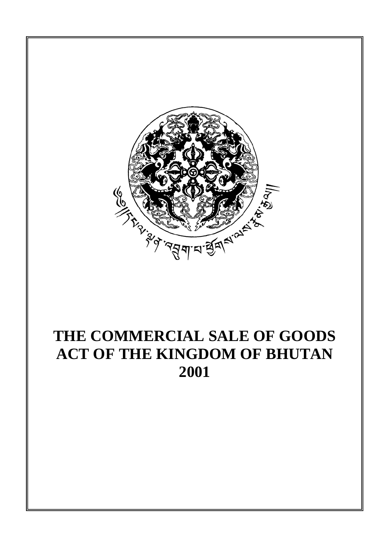

# **THE COMMERCIAL SALE OF GOODS ACT OF THE KINGDOM OF BHUTAN 2001**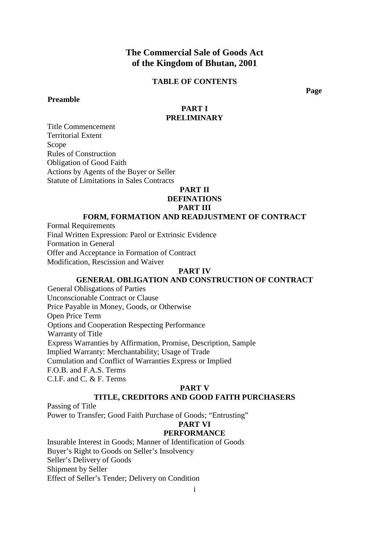# **The Commercial Sale of Goods Act of the Kingdom of Bhutan, 2001**

## **TABLE OF CONTENTS**

### **Preamble**

 **Page** 

### **PART I PRELIMINARY**

Title Commencement Territorial Extent Scope Rules of Construction Obligation of Good Faith Actions by Agents of the Buyer or Seller Statute of Limitations in Sales Contracts

#### **PART II**

## **DEFINATIONS**

**PART III** 

# **FORM, FORMATION AND READJUSTMENT OF CONTRACT**

Formal Requirements Final Written Expression: Parol or Extrinsic Evidence Formation in General Offer and Acceptance in Formation of Contract Modification, Rescission and Waiver

#### **PART IV**

# **GENERAL OBLIGATION AND CONSTRUCTION OF CONTRACT**

General Oblisgations of Parties Unconscionable Contract or Clause Price Payable in Money, Goods, or Otherwise Open Price Term Options and Cooperation Respecting Performance Warranty of Title Express Warranties by Affirmation, Promise, Description, Sample Implied Warranty: Merchantability; Usage of Trade Cumulation and Conflict of Warranties Express or Implied F.O.B. and F.A.S. Terms C.I.F. and C. & F. Terms

#### **PART V**

### **TITLE, CREDITORS AND GOOD FAITH PURCHASERS**

Passing of Title

Power to Transfer; Good Faith Purchase of Goods; "Entrusting"

# **PART VI**

# **PERFORMANCE**

Insurable Interest in Goods; Manner of Identification of Goods Buyer's Right to Goods on Seller's Insolvency Seller's Delivery of Goods Shipment by Seller Effect of Seller's Tender; Delivery on Condition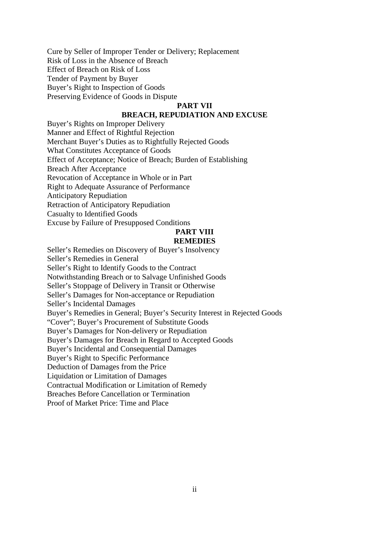Cure by Seller of Improper Tender or Delivery; Replacement Risk of Loss in the Absence of Breach Effect of Breach on Risk of Loss Tender of Payment by Buyer Buyer's Right to Inspection of Goods Preserving Evidence of Goods in Dispute

### **PART VII**

# **BREACH, REPUDIATION AND EXCUSE**

Buyer's Rights on Improper Delivery Manner and Effect of Rightful Rejection Merchant Buyer's Duties as to Rightfully Rejected Goods What Constitutes Acceptance of Goods Effect of Acceptance; Notice of Breach; Burden of Establishing Breach After Acceptance Revocation of Acceptance in Whole or in Part Right to Adequate Assurance of Performance Anticipatory Repudiation Retraction of Anticipatory Repudiation Casualty to Identified Goods Excuse by Failure of Presupposed Conditions

#### **PART VIII REMEDIES**

Seller's Remedies on Discovery of Buyer's Insolvency Seller's Remedies in General Seller's Right to Identify Goods to the Contract Notwithstanding Breach or to Salvage Unfinished Goods Seller's Stoppage of Delivery in Transit or Otherwise Seller's Damages for Non-acceptance or Repudiation Seller's Incidental Damages Buyer's Remedies in General; Buyer's Security Interest in Rejected Goods "Cover"; Buyer's Procurement of Substitute Goods Buyer's Damages for Non-delivery or Repudiation Buyer's Damages for Breach in Regard to Accepted Goods Buyer's Incidental and Consequential Damages Buyer's Right to Specific Performance Deduction of Damages from the Price Liquidation or Limitation of Damages Contractual Modification or Limitation of Remedy Breaches Before Cancellation or Termination

Proof of Market Price: Time and Place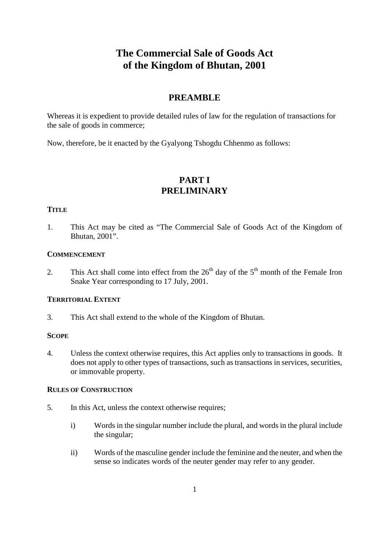# **The Commercial Sale of Goods Act of the Kingdom of Bhutan, 2001**

# **PREAMBLE**

Whereas it is expedient to provide detailed rules of law for the regulation of transactions for the sale of goods in commerce;

Now, therefore, be it enacted by the Gyalyong Tshogdu Chhenmo as follows:

# **PART I PRELIMINARY**

### **TITLE**

1. This Act may be cited as "The Commercial Sale of Goods Act of the Kingdom of Bhutan, 2001".

## **COMMENCEMENT**

2. This Act shall come into effect from the  $26<sup>th</sup>$  day of the  $5<sup>th</sup>$  month of the Female Iron Snake Year corresponding to 17 July, 2001.

### **TERRITORIAL EXTENT**

3. This Act shall extend to the whole of the Kingdom of Bhutan.

# **SCOPE**

4. Unless the context otherwise requires, this Act applies only to transactions in goods. It does not apply to other types of transactions, such as transactions in services, securities, or immovable property.

### **RULES OF CONSTRUCTION**

- 5. In this Act, unless the context otherwise requires;
	- i) Words in the singular number include the plural, and words in the plural include the singular;
	- ii) Words of the masculine gender include the feminine and the neuter, and when the sense so indicates words of the neuter gender may refer to any gender.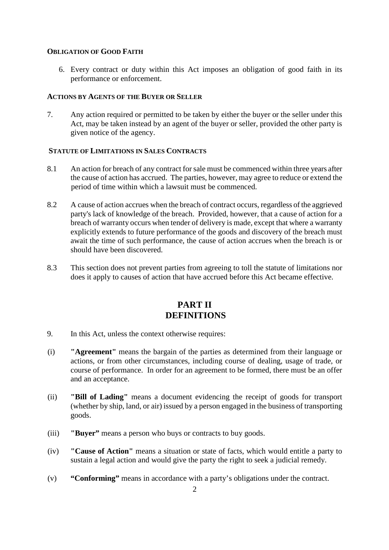# **OBLIGATION OF GOOD FAITH**

6. Every contract or duty within this Act imposes an obligation of good faith in its performance or enforcement.

### **ACTIONS BY AGENTS OF THE BUYER OR SELLER**

7. Any action required or permitted to be taken by either the buyer or the seller under this Act, may be taken instead by an agent of the buyer or seller, provided the other party is given notice of the agency.

# **STATUTE OF LIMITATIONS IN SALES CONTRACTS**

- 8.1 An action for breach of any contract for sale must be commenced within three years after the cause of action has accrued. The parties, however, may agree to reduce or extend the period of time within which a lawsuit must be commenced.
- 8.2 A cause of action accrues when the breach of contract occurs, regardless of the aggrieved party's lack of knowledge of the breach. Provided, however, that a cause of action for a breach of warranty occurs when tender of delivery is made, except that where a warranty explicitly extends to future performance of the goods and discovery of the breach must await the time of such performance, the cause of action accrues when the breach is or should have been discovered.
- 8.3 This section does not prevent parties from agreeing to toll the statute of limitations nor does it apply to causes of action that have accrued before this Act became effective.

# **PART II DEFINITIONS**

- 9. In this Act, unless the context otherwise requires:
- (i) **"Agreement"** means the bargain of the parties as determined from their language or actions, or from other circumstances, including course of dealing, usage of trade, or course of performance. In order for an agreement to be formed, there must be an offer and an acceptance.
- (ii) **"Bill of Lading"** means a document evidencing the receipt of goods for transport (whether by ship, land, or air) issued by a person engaged in the business of transporting goods.
- (iii) **"Buyer"** means a person who buys or contracts to buy goods.
- (iv) **"Cause of Action"** means a situation or state of facts, which would entitle a party to sustain a legal action and would give the party the right to seek a judicial remedy.
- (v) **"Conforming"** means in accordance with a party's obligations under the contract.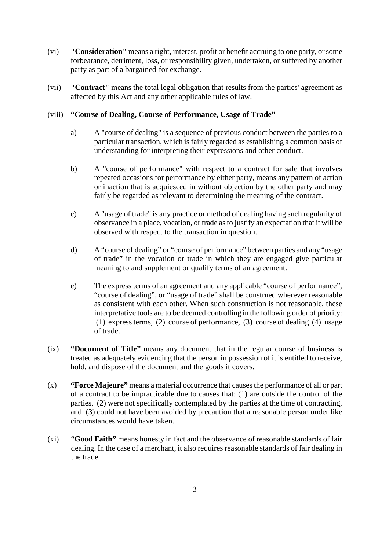- (vi) **"Consideration"** means a right, interest, profit or benefit accruing to one party, or some forbearance, detriment, loss, or responsibility given, undertaken, or suffered by another party as part of a bargained-for exchange.
- (vii) **"Contract"** means the total legal obligation that results from the parties' agreement as affected by this Act and any other applicable rules of law.

# (viii) **"Course of Dealing, Course of Performance, Usage of Trade"**

- a) A "course of dealing" is a sequence of previous conduct between the parties to a particular transaction, which is fairly regarded as establishing a common basis of understanding for interpreting their expressions and other conduct.
- b) A "course of performance" with respect to a contract for sale that involves repeated occasions for performance by either party, means any pattern of action or inaction that is acquiesced in without objection by the other party and may fairly be regarded as relevant to determining the meaning of the contract.
- c) A "usage of trade" is any practice or method of dealing having such regularity of observance in a place, vocation, or trade as to justify an expectation that it will be observed with respect to the transaction in question.
- d) A "course of dealing" or "course of performance" between parties and any "usage of trade" in the vocation or trade in which they are engaged give particular meaning to and supplement or qualify terms of an agreement.
- e) The express terms of an agreement and any applicable "course of performance", "course of dealing", or "usage of trade" shall be construed wherever reasonable as consistent with each other. When such construction is not reasonable, these interpretative tools are to be deemed controlling in the following order of priority: (1) express terms, (2) course of performance, (3) course of dealing (4) usage of trade.
- (ix) **"Document of Title"** means any document that in the regular course of business is treated as adequately evidencing that the person in possession of it is entitled to receive, hold, and dispose of the document and the goods it covers.
- (x) **"Force Majeure"** means a material occurrence that causes the performance of all or part of a contract to be impracticable due to causes that: (1) are outside the control of the parties, (2) were not specifically contemplated by the parties at the time of contracting, and (3) could not have been avoided by precaution that a reasonable person under like circumstances would have taken.
- (xi) "**Good Faith"** means honesty in fact and the observance of reasonable standards of fair dealing. In the case of a merchant, it also requires reasonable standards of fair dealing in the trade.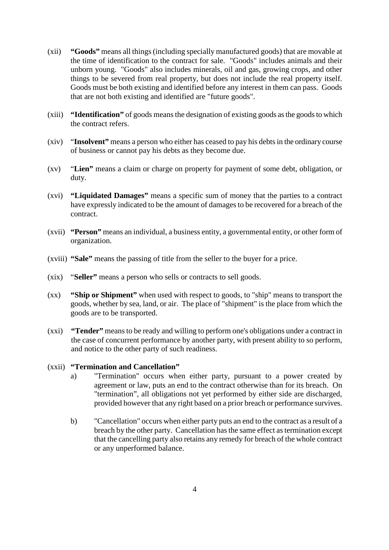- (xii) **"Goods"** means all things (including specially manufactured goods) that are movable at the time of identification to the contract for sale. "Goods" includes animals and their unborn young. "Goods" also includes minerals, oil and gas, growing crops, and other things to be severed from real property, but does not include the real property itself. Goods must be both existing and identified before any interest in them can pass. Goods that are not both existing and identified are "future goods".
- (xiii) **"Identification"** of goods means the designation of existing goods as the goods to which the contract refers.
- (xiv) "**Insolvent"** means a person who either has ceased to pay his debts in the ordinary course of business or cannot pay his debts as they become due.
- (xv) "**Lien"** means a claim or charge on property for payment of some debt, obligation, or duty.
- (xvi) **"Liquidated Damages"** means a specific sum of money that the parties to a contract have expressly indicated to be the amount of damages to be recovered for a breach of the contract.
- (xvii) **"Person"** means an individual, a business entity, a governmental entity, or other form of organization.
- (xviii) **"Sale"** means the passing of title from the seller to the buyer for a price.
- (xix) "**Seller"** means a person who sells or contracts to sell goods.
- (xx) **"Ship or Shipment"** when used with respect to goods, to "ship" means to transport the goods, whether by sea, land, or air. The place of "shipment" is the place from which the goods are to be transported.
- (xxi) **"Tender"** means to be ready and willing to perform one's obligations under a contract in the case of concurrent performance by another party, with present ability to so perform, and notice to the other party of such readiness.

### (xxii) **"Termination and Cancellation"**

- a) "Termination" occurs when either party, pursuant to a power created by agreement or law, puts an end to the contract otherwise than for its breach. On "termination", all obligations not yet performed by either side are discharged, provided however that any right based on a prior breach or performance survives.
- b) "Cancellation" occurs when either party puts an end to the contract as a result of a breach by the other party. Cancellation has the same effect as termination except that the cancelling party also retains any remedy for breach of the whole contract or any unperformed balance.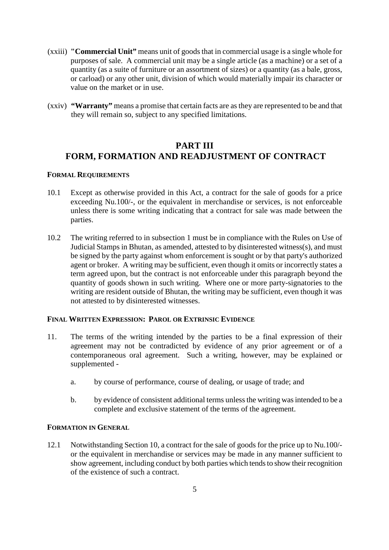- (xxiii) **"Commercial Unit"** means unit of goods that in commercial usage is a single whole for purposes of sale. A commercial unit may be a single article (as a machine) or a set of a quantity (as a suite of furniture or an assortment of sizes) or a quantity (as a bale, gross, or carload) or any other unit, division of which would materially impair its character or value on the market or in use.
- (xxiv) **"Warranty"** means a promise that certain facts are as they are represented to be and that they will remain so, subject to any specified limitations.

# **PART III FORM, FORMATION AND READJUSTMENT OF CONTRACT**

### **FORMAL REQUIREMENTS**

- 10.1 Except as otherwise provided in this Act, a contract for the sale of goods for a price exceeding Nu.100/-, or the equivalent in merchandise or services, is not enforceable unless there is some writing indicating that a contract for sale was made between the parties.
- 10.2 The writing referred to in subsection 1 must be in compliance with the Rules on Use of Judicial Stamps in Bhutan, as amended, attested to by disinterested witness(s), and must be signed by the party against whom enforcement is sought or by that party's authorized agent or broker. A writing may be sufficient, even though it omits or incorrectly states a term agreed upon, but the contract is not enforceable under this paragraph beyond the quantity of goods shown in such writing. Where one or more party-signatories to the writing are resident outside of Bhutan, the writing may be sufficient, even though it was not attested to by disinterested witnesses.

# **FINAL WRITTEN EXPRESSION: PAROL OR EXTRINSIC EVIDENCE**

- 11. The terms of the writing intended by the parties to be a final expression of their agreement may not be contradicted by evidence of any prior agreement or of a contemporaneous oral agreement. Such a writing, however, may be explained or supplemented
	- a. by course of performance, course of dealing, or usage of trade; and
	- b. by evidence of consistent additional terms unless the writing was intended to be a complete and exclusive statement of the terms of the agreement.

### **FORMATION IN GENERAL**

12.1 Notwithstanding Section 10, a contract for the sale of goods for the price up to Nu.100/ or the equivalent in merchandise or services may be made in any manner sufficient to show agreement, including conduct by both parties which tends to show their recognition of the existence of such a contract.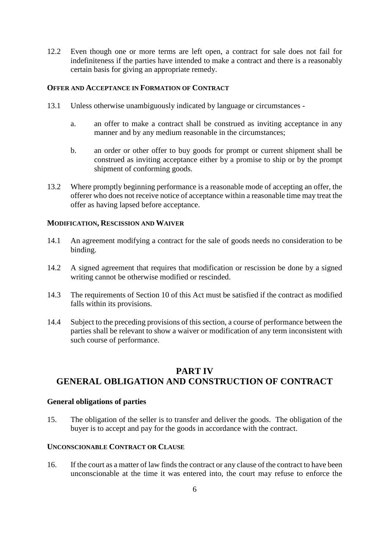12.2 Even though one or more terms are left open, a contract for sale does not fail for indefiniteness if the parties have intended to make a contract and there is a reasonably certain basis for giving an appropriate remedy.

# **OFFER AND ACCEPTANCE IN FORMATION OF CONTRACT**

- 13.1 Unless otherwise unambiguously indicated by language or circumstances
	- a. an offer to make a contract shall be construed as inviting acceptance in any manner and by any medium reasonable in the circumstances;
	- b. an order or other offer to buy goods for prompt or current shipment shall be construed as inviting acceptance either by a promise to ship or by the prompt shipment of conforming goods.
- 13.2 Where promptly beginning performance is a reasonable mode of accepting an offer, the offerer who does not receive notice of acceptance within a reasonable time may treat the offer as having lapsed before acceptance.

### **MODIFICATION, RESCISSION AND WAIVER**

- 14.1 An agreement modifying a contract for the sale of goods needs no consideration to be binding.
- 14.2 A signed agreement that requires that modification or rescission be done by a signed writing cannot be otherwise modified or rescinded.
- 14.3 The requirements of Section 10 of this Act must be satisfied if the contract as modified falls within its provisions.
- 14.4 Subject to the preceding provisions of this section, a course of performance between the parties shall be relevant to show a waiver or modification of any term inconsistent with such course of performance.

# **PART IV GENERAL OBLIGATION AND CONSTRUCTION OF CONTRACT**

### **General obligations of parties**

15. The obligation of the seller is to transfer and deliver the goods. The obligation of the buyer is to accept and pay for the goods in accordance with the contract.

### **UNCONSCIONABLE CONTRACT OR CLAUSE**

16. If the court as a matter of law finds the contract or any clause of the contract to have been unconscionable at the time it was entered into, the court may refuse to enforce the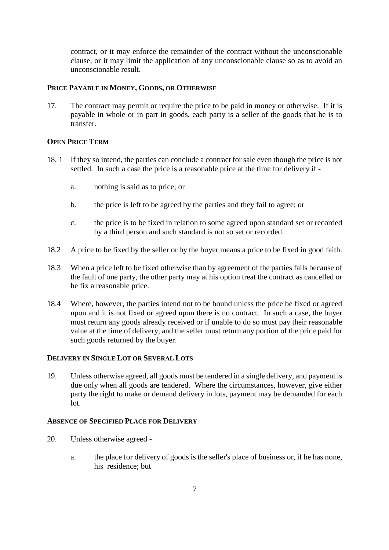contract, or it may enforce the remainder of the contract without the unconscionable clause, or it may limit the application of any unconscionable clause so as to avoid an unconscionable result.

## **PRICE PAYABLE IN MONEY, GOODS, OR OTHERWISE**

17. The contract may permit or require the price to be paid in money or otherwise. If it is payable in whole or in part in goods, each party is a seller of the goods that he is to transfer.

# **OPEN PRICE TERM**

- 18. 1 If they so intend, the parties can conclude a contract for sale even though the price is not settled. In such a case the price is a reasonable price at the time for delivery if
	- a. nothing is said as to price; or
	- b. the price is left to be agreed by the parties and they fail to agree; or
	- c. the price is to be fixed in relation to some agreed upon standard set or recorded by a third person and such standard is not so set or recorded.
- 18.2 A price to be fixed by the seller or by the buyer means a price to be fixed in good faith.
- 18.3 When a price left to be fixed otherwise than by agreement of the parties fails because of the fault of one party, the other party may at his option treat the contract as cancelled or he fix a reasonable price.
- 18.4 Where, however, the parties intend not to be bound unless the price be fixed or agreed upon and it is not fixed or agreed upon there is no contract. In such a case, the buyer must return any goods already received or if unable to do so must pay their reasonable value at the time of delivery, and the seller must return any portion of the price paid for such goods returned by the buyer.

### **DELIVERY IN SINGLE LOT OR SEVERAL LOTS**

19. Unless otherwise agreed, all goods must be tendered in a single delivery, and payment is due only when all goods are tendered. Where the circumstances, however, give either party the right to make or demand delivery in lots, payment may be demanded for each lot.

# **ABSENCE OF SPECIFIED PLACE FOR DELIVERY**

- 20. Unless otherwise agreed
	- a. the place for delivery of goods is the seller's place of business or, if he has none, his residence; but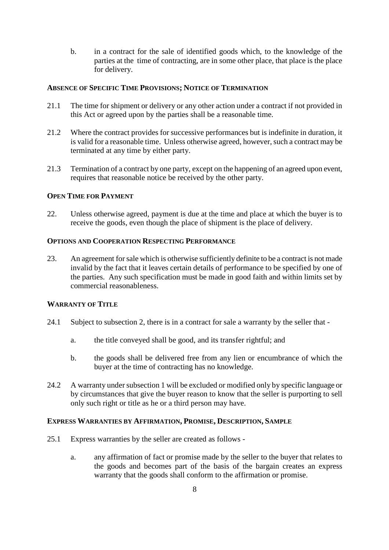b. in a contract for the sale of identified goods which, to the knowledge of the parties at the time of contracting, are in some other place, that place is the place for delivery.

# **ABSENCE OF SPECIFIC TIME PROVISIONS; NOTICE OF TERMINATION**

- 21.1 The time for shipment or delivery or any other action under a contract if not provided in this Act or agreed upon by the parties shall be a reasonable time.
- 21.2 Where the contract provides for successive performances but is indefinite in duration, it is valid for a reasonable time. Unless otherwise agreed, however, such a contract may be terminated at any time by either party.
- 21.3 Termination of a contract by one party, except on the happening of an agreed upon event, requires that reasonable notice be received by the other party.

# **OPEN TIME FOR PAYMENT**

22. Unless otherwise agreed, payment is due at the time and place at which the buyer is to receive the goods, even though the place of shipment is the place of delivery.

# **OPTIONS AND COOPERATION RESPECTING PERFORMANCE**

23. An agreement for sale which is otherwise sufficiently definite to be a contract is not made invalid by the fact that it leaves certain details of performance to be specified by one of the parties. Any such specification must be made in good faith and within limits set by commercial reasonableness.

# **WARRANTY OF TITLE**

- 24.1 Subject to subsection 2, there is in a contract for sale a warranty by the seller that
	- a. the title conveyed shall be good, and its transfer rightful; and
	- b. the goods shall be delivered free from any lien or encumbrance of which the buyer at the time of contracting has no knowledge.
- 24.2 A warranty under subsection 1 will be excluded or modified only by specific language or by circumstances that give the buyer reason to know that the seller is purporting to sell only such right or title as he or a third person may have.

# **EXPRESS WARRANTIES BY AFFIRMATION, PROMISE, DESCRIPTION, SAMPLE**

- 25.1 Express warranties by the seller are created as follows
	- a. any affirmation of fact or promise made by the seller to the buyer that relates to the goods and becomes part of the basis of the bargain creates an express warranty that the goods shall conform to the affirmation or promise.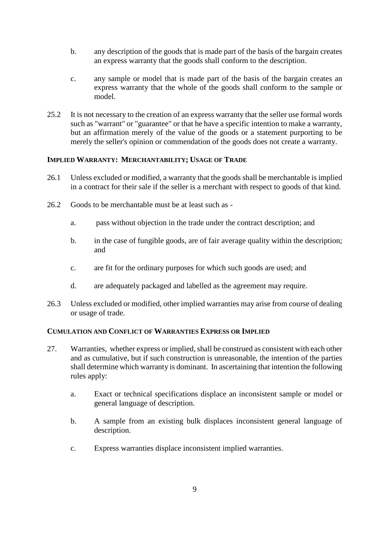- b. any description of the goods that is made part of the basis of the bargain creates an express warranty that the goods shall conform to the description.
- c. any sample or model that is made part of the basis of the bargain creates an express warranty that the whole of the goods shall conform to the sample or model.
- 25.2 It is not necessary to the creation of an express warranty that the seller use formal words such as "warrant" or "guarantee" or that he have a specific intention to make a warranty, but an affirmation merely of the value of the goods or a statement purporting to be merely the seller's opinion or commendation of the goods does not create a warranty.

# **IMPLIED WARRANTY: MERCHANTABILITY; USAGE OF TRADE**

- 26.1 Unless excluded or modified, a warranty that the goods shall be merchantable is implied in a contract for their sale if the seller is a merchant with respect to goods of that kind.
- 26.2 Goods to be merchantable must be at least such as
	- a. pass without objection in the trade under the contract description; and
	- b. in the case of fungible goods, are of fair average quality within the description; and
	- c. are fit for the ordinary purposes for which such goods are used; and
	- d. are adequately packaged and labelled as the agreement may require.
- 26.3 Unless excluded or modified, other implied warranties may arise from course of dealing or usage of trade.

# **CUMULATION AND CONFLICT OF WARRANTIES EXPRESS OR IMPLIED**

- 27. Warranties, whether express or implied, shall be construed as consistent with each other and as cumulative, but if such construction is unreasonable, the intention of the parties shall determine which warranty is dominant. In ascertaining that intention the following rules apply:
	- a. Exact or technical specifications displace an inconsistent sample or model or general language of description.
	- b. A sample from an existing bulk displaces inconsistent general language of description.
	- c. Express warranties displace inconsistent implied warranties.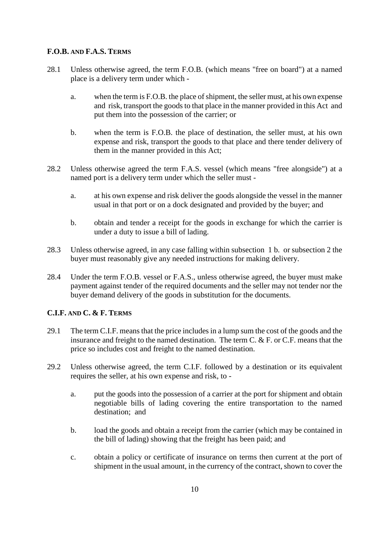# **F.O.B. AND F.A.S. TERMS**

- 28.1 Unless otherwise agreed, the term F.O.B. (which means "free on board") at a named place is a delivery term under which
	- a. when the term is F.O.B. the place of shipment, the seller must, at his own expense and risk, transport the goods to that place in the manner provided in this Act and put them into the possession of the carrier; or
	- b. when the term is F.O.B. the place of destination, the seller must, at his own expense and risk, transport the goods to that place and there tender delivery of them in the manner provided in this Act;
- 28.2 Unless otherwise agreed the term F.A.S. vessel (which means "free alongside") at a named port is a delivery term under which the seller must
	- a. at his own expense and risk deliver the goods alongside the vessel in the manner usual in that port or on a dock designated and provided by the buyer; and
	- b. obtain and tender a receipt for the goods in exchange for which the carrier is under a duty to issue a bill of lading.
- 28.3 Unless otherwise agreed, in any case falling within subsection 1 b. or subsection 2 the buyer must reasonably give any needed instructions for making delivery.
- 28.4 Under the term F.O.B. vessel or F.A.S., unless otherwise agreed, the buyer must make payment against tender of the required documents and the seller may not tender nor the buyer demand delivery of the goods in substitution for the documents.

# **C.I.F. AND C. & F. TERMS**

- 29.1 The term C.I.F. means that the price includes in a lump sum the cost of the goods and the insurance and freight to the named destination. The term C. & F. or C.F. means that the price so includes cost and freight to the named destination.
- 29.2 Unless otherwise agreed, the term C.I.F. followed by a destination or its equivalent requires the seller, at his own expense and risk, to
	- a. put the goods into the possession of a carrier at the port for shipment and obtain negotiable bills of lading covering the entire transportation to the named destination; and
	- b. load the goods and obtain a receipt from the carrier (which may be contained in the bill of lading) showing that the freight has been paid; and
	- c. obtain a policy or certificate of insurance on terms then current at the port of shipment in the usual amount, in the currency of the contract, shown to cover the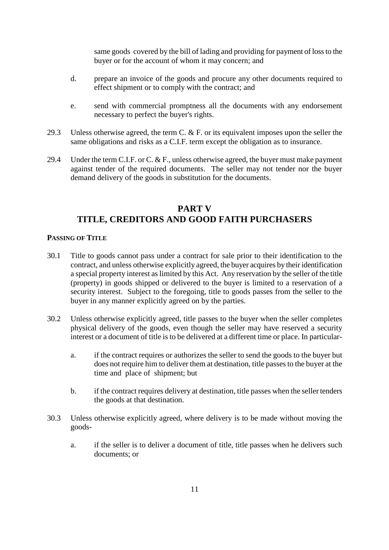same goods covered by the bill of lading and providing for payment of loss to the buyer or for the account of whom it may concern; and

- d. prepare an invoice of the goods and procure any other documents required to effect shipment or to comply with the contract; and
- e. send with commercial promptness all the documents with any endorsement necessary to perfect the buyer's rights.
- 29.3 Unless otherwise agreed, the term C. & F. or its equivalent imposes upon the seller the same obligations and risks as a C.I.F. term except the obligation as to insurance.
- 29.4 Under the term C.I.F. or C. & F., unless otherwise agreed, the buyer must make payment against tender of the required documents. The seller may not tender nor the buyer demand delivery of the goods in substitution for the documents.

# **PART V TITLE, CREDITORS AND GOOD FAITH PURCHASERS**

### **PASSING OF TITLE**

- 30.1 Title to goods cannot pass under a contract for sale prior to their identification to the contract, and unless otherwise explicitly agreed, the buyer acquires by their identification a special property interest as limited by this Act. Any reservation by the seller of the title (property) in goods shipped or delivered to the buyer is limited to a reservation of a security interest. Subject to the foregoing, title to goods passes from the seller to the buyer in any manner explicitly agreed on by the parties.
- 30.2 Unless otherwise explicitly agreed, title passes to the buyer when the seller completes physical delivery of the goods, even though the seller may have reserved a security interest or a document of title is to be delivered at a different time or place. In particular
	- a. if the contract requires or authorizes the seller to send the goods to the buyer but does not require him to deliver them at destination, title passes to the buyer at the time and place of shipment; but
	- b. if the contract requires delivery at destination, title passes when the seller tenders the goods at that destination.
- 30.3 Unless otherwise explicitly agreed, where delivery is to be made without moving the goods
	- a. if the seller is to deliver a document of title, title passes when he delivers such documents; or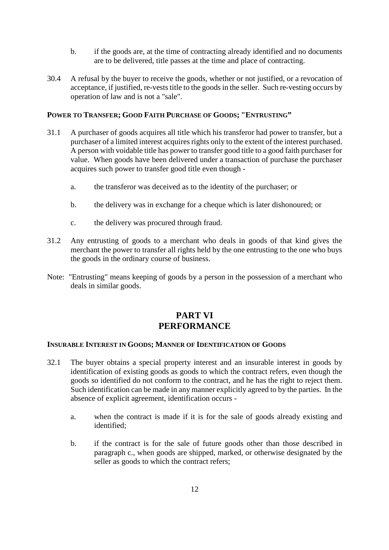- b. if the goods are, at the time of contracting already identified and no documents are to be delivered, title passes at the time and place of contracting.
- 30.4 A refusal by the buyer to receive the goods, whether or not justified, or a revocation of acceptance, if justified, re-vests title to the goods in the seller. Such re-vesting occurs by operation of law and is not a "sale".

## **POWER TO TRANSFER; GOOD FAITH PURCHASE OF GOODS; "ENTRUSTING"**

- 31.1 A purchaser of goods acquires all title which his transferor had power to transfer, but a purchaser of a limited interest acquires rights only to the extent of the interest purchased. A person with voidable title has power to transfer good title to a good faith purchaser for value. When goods have been delivered under a transaction of purchase the purchaser acquires such power to transfer good title even though
	- a. the transferor was deceived as to the identity of the purchaser; or
	- b. the delivery was in exchange for a cheque which is later dishonoured; or
	- c. the delivery was procured through fraud.
- 31.2 Any entrusting of goods to a merchant who deals in goods of that kind gives the merchant the power to transfer all rights held by the one entrusting to the one who buys the goods in the ordinary course of business.
- Note: "Entrusting" means keeping of goods by a person in the possession of a merchant who deals in similar goods.

# **PART VI PERFORMANCE**

## **INSURABLE INTEREST IN GOODS; MANNER OF IDENTIFICATION OF GOODS**

- 32.1 The buyer obtains a special property interest and an insurable interest in goods by identification of existing goods as goods to which the contract refers, even though the goods so identified do not conform to the contract, and he has the right to reject them. Such identification can be made in any manner explicitly agreed to by the parties. In the absence of explicit agreement, identification occurs
	- a. when the contract is made if it is for the sale of goods already existing and identified;
	- b. if the contract is for the sale of future goods other than those described in paragraph c., when goods are shipped, marked, or otherwise designated by the seller as goods to which the contract refers;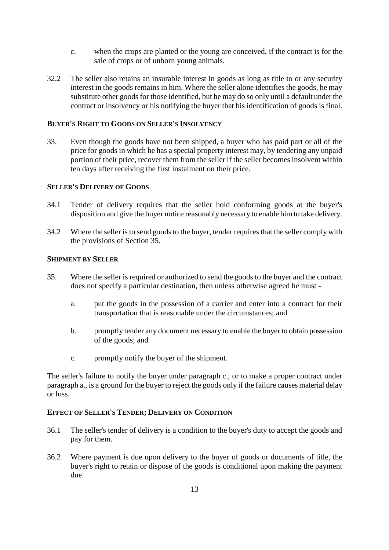- c. when the crops are planted or the young are conceived, if the contract is for the sale of crops or of unborn young animals.
- 32.2 The seller also retains an insurable interest in goods as long as title to or any security interest in the goods remains in him. Where the seller alone identifies the goods, he may substitute other goods for those identified, but he may do so only until a default under the contract or insolvency or his notifying the buyer that his identification of goods is final.

### **BUYER'S RIGHT TO GOODS ON SELLER'S INSOLVENCY**

33. Even though the goods have not been shipped, a buyer who has paid part or all of the price for goods in which he has a special property interest may, by tendering any unpaid portion of their price, recover them from the seller if the seller becomes insolvent within ten days after receiving the first instalment on their price.

### **SELLER'S DELIVERY OF GOODS**

- 34.1 Tender of delivery requires that the seller hold conforming goods at the buyer's disposition and give the buyer notice reasonably necessary to enable him to take delivery.
- 34.2 Where the seller is to send goods to the buyer, tender requires that the seller comply with the provisions of Section 35.

### **SHIPMENT BY SELLER**

- 35. Where the seller is required or authorized to send the goods to the buyer and the contract does not specify a particular destination, then unless otherwise agreed he must
	- a. put the goods in the possession of a carrier and enter into a contract for their transportation that is reasonable under the circumstances; and
	- b. promptly tender any document necessary to enable the buyer to obtain possession of the goods; and
	- c. promptly notify the buyer of the shipment.

The seller's failure to notify the buyer under paragraph c., or to make a proper contract under paragraph a., is a ground for the buyer to reject the goods only if the failure causes material delay or loss.

### **EFFECT OF SELLER'S TENDER; DELIVERY ON CONDITION**

- 36.1 The seller's tender of delivery is a condition to the buyer's duty to accept the goods and pay for them.
- 36.2 Where payment is due upon delivery to the buyer of goods or documents of title, the buyer's right to retain or dispose of the goods is conditional upon making the payment due.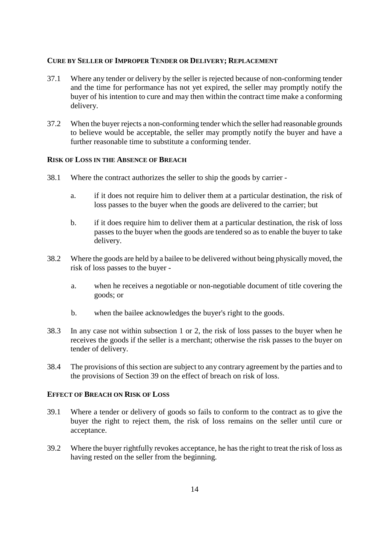### **CURE BY SELLER OF IMPROPER TENDER OR DELIVERY; REPLACEMENT**

- 37.1 Where any tender or delivery by the seller is rejected because of non-conforming tender and the time for performance has not yet expired, the seller may promptly notify the buyer of his intention to cure and may then within the contract time make a conforming delivery.
- 37.2 When the buyer rejects a non-conforming tender which the seller had reasonable grounds to believe would be acceptable, the seller may promptly notify the buyer and have a further reasonable time to substitute a conforming tender.

### **RISK OF LOSS IN THE ABSENCE OF BREACH**

- 38.1 Where the contract authorizes the seller to ship the goods by carrier
	- a. if it does not require him to deliver them at a particular destination, the risk of loss passes to the buyer when the goods are delivered to the carrier; but
	- b. if it does require him to deliver them at a particular destination, the risk of loss passes to the buyer when the goods are tendered so as to enable the buyer to take delivery.
- 38.2 Where the goods are held by a bailee to be delivered without being physically moved, the risk of loss passes to the buyer
	- a. when he receives a negotiable or non-negotiable document of title covering the goods; or
	- b. when the bailee acknowledges the buyer's right to the goods.
- 38.3 In any case not within subsection 1 or 2, the risk of loss passes to the buyer when he receives the goods if the seller is a merchant; otherwise the risk passes to the buyer on tender of delivery.
- 38.4 The provisions of this section are subject to any contrary agreement by the parties and to the provisions of Section 39 on the effect of breach on risk of loss.

#### **EFFECT OF BREACH ON RISK OF LOSS**

- 39.1 Where a tender or delivery of goods so fails to conform to the contract as to give the buyer the right to reject them, the risk of loss remains on the seller until cure or acceptance.
- 39.2 Where the buyer rightfully revokes acceptance, he has the right to treat the risk of loss as having rested on the seller from the beginning.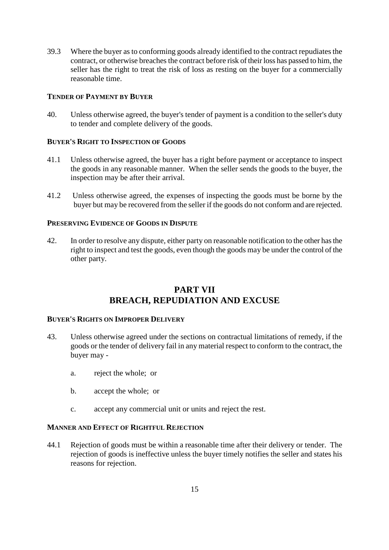39.3 Where the buyer as to conforming goods already identified to the contract repudiates the contract, or otherwise breaches the contract before risk of their loss has passed to him, the seller has the right to treat the risk of loss as resting on the buyer for a commercially reasonable time.

# **TENDER OF PAYMENT BY BUYER**

40. Unless otherwise agreed, the buyer's tender of payment is a condition to the seller's duty to tender and complete delivery of the goods.

# **BUYER'S RIGHT TO INSPECTION OF GOODS**

- 41.1 Unless otherwise agreed, the buyer has a right before payment or acceptance to inspect the goods in any reasonable manner. When the seller sends the goods to the buyer, the inspection may be after their arrival.
- 41.2 Unless otherwise agreed, the expenses of inspecting the goods must be borne by the buyer but may be recovered from the seller if the goods do not conform and are rejected.

# **PRESERVING EVIDENCE OF GOODS IN DISPUTE**

42. In order to resolve any dispute, either party on reasonable notification to the other has the right to inspect and test the goods, even though the goods may be under the control of the other party.

# **PART VII BREACH, REPUDIATION AND EXCUSE**

# **BUYER'S RIGHTS ON IMPROPER DELIVERY**

- 43. Unless otherwise agreed under the sections on contractual limitations of remedy, if the goods or the tender of delivery fail in any material respect to conform to the contract, the buyer may
	- a. reject the whole; or
	- b. accept the whole; or
	- c. accept any commercial unit or units and reject the rest.

# **MANNER AND EFFECT OF RIGHTFUL REJECTION**

44.1 Rejection of goods must be within a reasonable time after their delivery or tender. The rejection of goods is ineffective unless the buyer timely notifies the seller and states his reasons for rejection.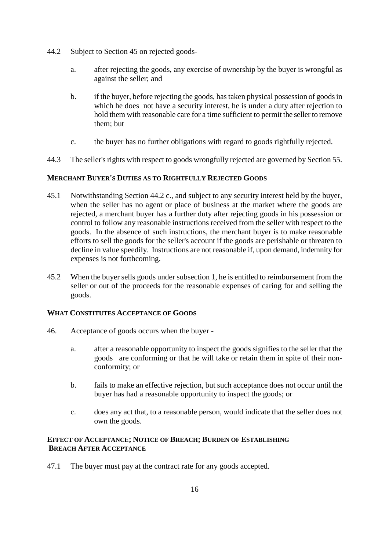- 44.2 Subject to Section 45 on rejected goods
	- a. after rejecting the goods, any exercise of ownership by the buyer is wrongful as against the seller; and
	- b. if the buyer, before rejecting the goods, has taken physical possession of goods in which he does not have a security interest, he is under a duty after rejection to hold them with reasonable care for a time sufficient to permit the seller to remove them; but
	- c. the buyer has no further obligations with regard to goods rightfully rejected.
- 44.3 The seller's rights with respect to goods wrongfully rejected are governed by Section 55.

# **MERCHANT BUYER'S DUTIES AS TO RIGHTFULLY REJECTED GOODS**

- 45.1 Notwithstanding Section 44.2 c., and subject to any security interest held by the buyer, when the seller has no agent or place of business at the market where the goods are rejected, a merchant buyer has a further duty after rejecting goods in his possession or control to follow any reasonable instructions received from the seller with respect to the goods. In the absence of such instructions, the merchant buyer is to make reasonable efforts to sell the goods for the seller's account if the goods are perishable or threaten to decline in value speedily. Instructions are not reasonable if, upon demand, indemnity for expenses is not forthcoming.
- 45.2 When the buyer sells goods under subsection 1, he is entitled to reimbursement from the seller or out of the proceeds for the reasonable expenses of caring for and selling the goods.

# **WHAT CONSTITUTES ACCEPTANCE OF GOODS**

- 46. Acceptance of goods occurs when the buyer
	- a. after a reasonable opportunity to inspect the goods signifies to the seller that the goods are conforming or that he will take or retain them in spite of their nonconformity; or
	- b. fails to make an effective rejection, but such acceptance does not occur until the buyer has had a reasonable opportunity to inspect the goods; or
	- c. does any act that, to a reasonable person, would indicate that the seller does not own the goods.

# **EFFECT OF ACCEPTANCE; NOTICE OF BREACH; BURDEN OF ESTABLISHING BREACH AFTER ACCEPTANCE**

47.1 The buyer must pay at the contract rate for any goods accepted.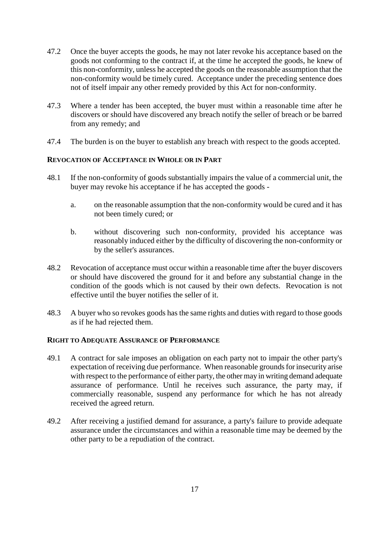- 47.2 Once the buyer accepts the goods, he may not later revoke his acceptance based on the goods not conforming to the contract if, at the time he accepted the goods, he knew of this non-conformity, unless he accepted the goods on the reasonable assumption that the non-conformity would be timely cured. Acceptance under the preceding sentence does not of itself impair any other remedy provided by this Act for non-conformity.
- 47.3 Where a tender has been accepted, the buyer must within a reasonable time after he discovers or should have discovered any breach notify the seller of breach or be barred from any remedy; and
- 47.4 The burden is on the buyer to establish any breach with respect to the goods accepted.

# **REVOCATION OF ACCEPTANCE IN WHOLE OR IN PART**

- 48.1 If the non-conformity of goods substantially impairs the value of a commercial unit, the buyer may revoke his acceptance if he has accepted the goods
	- a. on the reasonable assumption that the non-conformity would be cured and it has not been timely cured; or
	- b. without discovering such non-conformity, provided his acceptance was reasonably induced either by the difficulty of discovering the non-conformity or by the seller's assurances.
- 48.2 Revocation of acceptance must occur within a reasonable time after the buyer discovers or should have discovered the ground for it and before any substantial change in the condition of the goods which is not caused by their own defects. Revocation is not effective until the buyer notifies the seller of it.
- 48.3 A buyer who so revokes goods has the same rights and duties with regard to those goods as if he had rejected them.

# **RIGHT TO ADEQUATE ASSURANCE OF PERFORMANCE**

- 49.1 A contract for sale imposes an obligation on each party not to impair the other party's expectation of receiving due performance. When reasonable grounds for insecurity arise with respect to the performance of either party, the other may in writing demand adequate assurance of performance. Until he receives such assurance, the party may, if commercially reasonable, suspend any performance for which he has not already received the agreed return.
- 49.2 After receiving a justified demand for assurance, a party's failure to provide adequate assurance under the circumstances and within a reasonable time may be deemed by the other party to be a repudiation of the contract.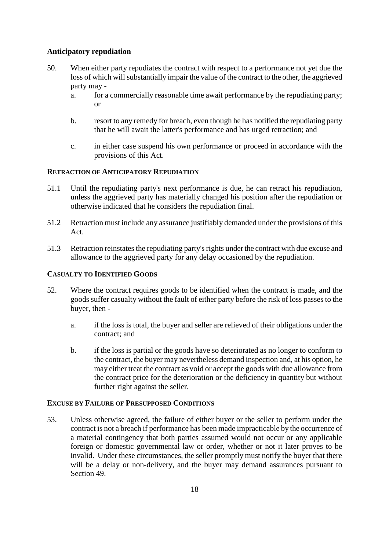# **Anticipatory repudiation**

- 50. When either party repudiates the contract with respect to a performance not yet due the loss of which will substantially impair the value of the contract to the other, the aggrieved party may
	- a. for a commercially reasonable time await performance by the repudiating party; or
	- b. resort to any remedy for breach, even though he has notified the repudiating party that he will await the latter's performance and has urged retraction; and
	- c. in either case suspend his own performance or proceed in accordance with the provisions of this Act.

# **RETRACTION OF ANTICIPATORY REPUDIATION**

- 51.1 Until the repudiating party's next performance is due, he can retract his repudiation, unless the aggrieved party has materially changed his position after the repudiation or otherwise indicated that he considers the repudiation final.
- 51.2 Retraction must include any assurance justifiably demanded under the provisions of this Act.
- 51.3 Retraction reinstates the repudiating party's rights under the contract with due excuse and allowance to the aggrieved party for any delay occasioned by the repudiation.

# **CASUALTY TO IDENTIFIED GOODS**

- 52. Where the contract requires goods to be identified when the contract is made, and the goods suffer casualty without the fault of either party before the risk of loss passes to the buyer, then
	- a. if the loss is total, the buyer and seller are relieved of their obligations under the contract; and
	- b. if the loss is partial or the goods have so deteriorated as no longer to conform to the contract, the buyer may nevertheless demand inspection and, at his option, he may either treat the contract as void or accept the goods with due allowance from the contract price for the deterioration or the deficiency in quantity but without further right against the seller.

# **EXCUSE BY FAILURE OF PRESUPPOSED CONDITIONS**

53. Unless otherwise agreed, the failure of either buyer or the seller to perform under the contract is not a breach if performance has been made impracticable by the occurrence of a material contingency that both parties assumed would not occur or any applicable foreign or domestic governmental law or order, whether or not it later proves to be invalid. Under these circumstances, the seller promptly must notify the buyer that there will be a delay or non-delivery, and the buyer may demand assurances pursuant to Section 49.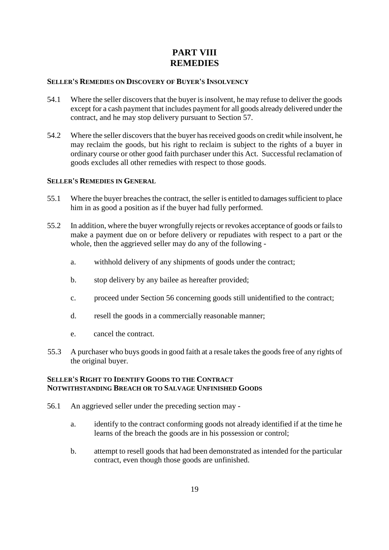# **PART VIII REMEDIES**

## **SELLER'S REMEDIES ON DISCOVERY OF BUYER'S INSOLVENCY**

- 54.1 Where the seller discovers that the buyer is insolvent, he may refuse to deliver the goods except for a cash payment that includes payment for all goods already delivered under the contract, and he may stop delivery pursuant to Section 57.
- 54.2 Where the seller discovers that the buyer has received goods on credit while insolvent, he may reclaim the goods, but his right to reclaim is subject to the rights of a buyer in ordinary course or other good faith purchaser under this Act. Successful reclamation of goods excludes all other remedies with respect to those goods.

### **SELLER'S REMEDIES IN GENERAL**

- 55.1 Where the buyer breaches the contract, the seller is entitled to damages sufficient to place him in as good a position as if the buyer had fully performed.
- 55.2 In addition, where the buyer wrongfully rejects or revokes acceptance of goods or fails to make a payment due on or before delivery or repudiates with respect to a part or the whole, then the aggrieved seller may do any of the following
	- a. withhold delivery of any shipments of goods under the contract;
	- b. stop delivery by any bailee as hereafter provided;
	- c. proceed under Section 56 concerning goods still unidentified to the contract;
	- d. resell the goods in a commercially reasonable manner;
	- e. cancel the contract.
- 55.3 A purchaser who buys goods in good faith at a resale takes the goods free of any rights of the original buyer.

# **SELLER'S RIGHT TO IDENTIFY GOODS TO THE CONTRACT NOTWITHSTANDING BREACH OR TO SALVAGE UNFINISHED GOODS**

- 56.1 An aggrieved seller under the preceding section may
	- a. identify to the contract conforming goods not already identified if at the time he learns of the breach the goods are in his possession or control;
	- b. attempt to resell goods that had been demonstrated as intended for the particular contract, even though those goods are unfinished.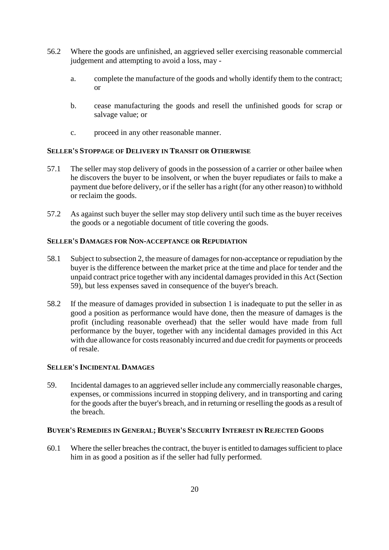- 56.2 Where the goods are unfinished, an aggrieved seller exercising reasonable commercial judgement and attempting to avoid a loss, may
	- a. complete the manufacture of the goods and wholly identify them to the contract; or
	- b. cease manufacturing the goods and resell the unfinished goods for scrap or salvage value; or
	- c. proceed in any other reasonable manner.

# **SELLER'S STOPPAGE OF DELIVERY IN TRANSIT OR OTHERWISE**

- 57.1 The seller may stop delivery of goods in the possession of a carrier or other bailee when he discovers the buyer to be insolvent, or when the buyer repudiates or fails to make a payment due before delivery, or if the seller has a right (for any other reason) to withhold or reclaim the goods.
- 57.2 As against such buyer the seller may stop delivery until such time as the buyer receives the goods or a negotiable document of title covering the goods.

# **SELLER'S DAMAGES FOR NON-ACCEPTANCE OR REPUDIATION**

- 58.1 Subject to subsection 2, the measure of damages for non-acceptance or repudiation by the buyer is the difference between the market price at the time and place for tender and the unpaid contract price together with any incidental damages provided in this Act (Section 59), but less expenses saved in consequence of the buyer's breach.
- 58.2 If the measure of damages provided in subsection 1 is inadequate to put the seller in as good a position as performance would have done, then the measure of damages is the profit (including reasonable overhead) that the seller would have made from full performance by the buyer, together with any incidental damages provided in this Act with due allowance for costs reasonably incurred and due credit for payments or proceeds of resale.

### **SELLER'S INCIDENTAL DAMAGES**

59. Incidental damages to an aggrieved seller include any commercially reasonable charges, expenses, or commissions incurred in stopping delivery, and in transporting and caring for the goods after the buyer's breach, and in returning or reselling the goods as a result of the breach.

### **BUYER'S REMEDIES IN GENERAL; BUYER'S SECURITY INTEREST IN REJECTED GOODS**

60.1 Where the seller breaches the contract, the buyer is entitled to damages sufficient to place him in as good a position as if the seller had fully performed.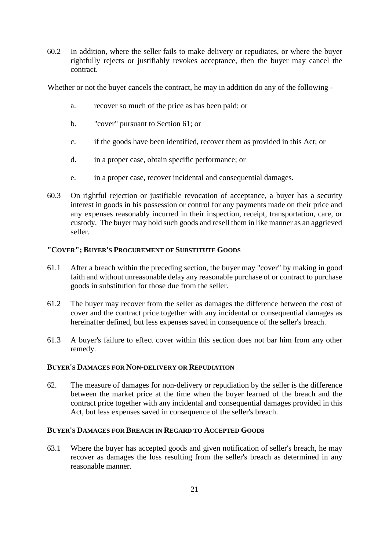60.2 In addition, where the seller fails to make delivery or repudiates, or where the buyer rightfully rejects or justifiably revokes acceptance, then the buyer may cancel the contract.

Whether or not the buyer cancels the contract, he may in addition do any of the following -

- a. recover so much of the price as has been paid; or
- b. "cover" pursuant to Section 61; or
- c. if the goods have been identified, recover them as provided in this Act; or
- d. in a proper case, obtain specific performance; or
- e. in a proper case, recover incidental and consequential damages.
- 60.3 On rightful rejection or justifiable revocation of acceptance, a buyer has a security interest in goods in his possession or control for any payments made on their price and any expenses reasonably incurred in their inspection, receipt, transportation, care, or custody. The buyer may hold such goods and resell them in like manner as an aggrieved seller.

# **"COVER"; BUYER'S PROCUREMENT OF SUBSTITUTE GOODS**

- 61.1 After a breach within the preceding section, the buyer may "cover" by making in good faith and without unreasonable delay any reasonable purchase of or contract to purchase goods in substitution for those due from the seller.
- 61.2 The buyer may recover from the seller as damages the difference between the cost of cover and the contract price together with any incidental or consequential damages as hereinafter defined, but less expenses saved in consequence of the seller's breach.
- 61.3 A buyer's failure to effect cover within this section does not bar him from any other remedy.

### **BUYER'S DAMAGES FOR NON-DELIVERY OR REPUDIATION**

62. The measure of damages for non-delivery or repudiation by the seller is the difference between the market price at the time when the buyer learned of the breach and the contract price together with any incidental and consequential damages provided in this Act, but less expenses saved in consequence of the seller's breach.

# **BUYER'S DAMAGES FOR BREACH IN REGARD TO ACCEPTED GOODS**

63.1 Where the buyer has accepted goods and given notification of seller's breach, he may recover as damages the loss resulting from the seller's breach as determined in any reasonable manner.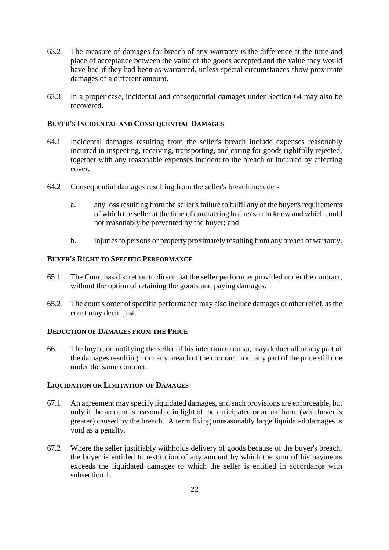- 63.2 The measure of damages for breach of any warranty is the difference at the time and place of acceptance between the value of the goods accepted and the value they would have had if they had been as warranted, unless special circumstances show proximate damages of a different amount.
- 63.3 In a proper case, incidental and consequential damages under Section 64 may also be recovered.

### **BUYER'S INCIDENTAL AND CONSEQUENTIAL DAMAGES**

- 64.1 Incidental damages resulting from the seller's breach include expenses reasonably incurred in inspecting, receiving, transporting, and caring for goods rightfully rejected, together with any reasonable expenses incident to the breach or incurred by effecting cover.
- 64.2 Consequential damages resulting from the seller's breach include
	- a. any loss resulting from the seller's failure to fulfil any of the buyer's requirements of which the seller at the time of contracting had reason to know and which could not reasonably be prevented by the buyer; and
	- b. injuries to persons or property proximately resulting from any breach of warranty.

# **BUYER'S RIGHT TO SPECIFIC PERFORMANCE**

- 65.1 The Court has discretion to direct that the seller perform as provided under the contract, without the option of retaining the goods and paying damages.
- 65.2 The court's order of specific performance may also include damages or other relief, as the court may deem just.

# **DEDUCTION OF DAMAGES FROM THE PRICE**

66. The buyer, on notifying the seller of his intention to do so, may deduct all or any part of the damages resulting from any breach of the contract from any part of the price still due under the same contract.

# **LIQUIDATION OR LIMITATION OF DAMAGES**

- 67.1 An agreement may specify liquidated damages, and such provisions are enforceable, but only if the amount is reasonable in light of the anticipated or actual harm (whichever is greater) caused by the breach. A term fixing unreasonably large liquidated damages is void as a penalty.
- 67.2 Where the seller justifiably withholds delivery of goods because of the buyer's breach, the buyer is entitled to restitution of any amount by which the sum of his payments exceeds the liquidated damages to which the seller is entitled in accordance with subsection 1.